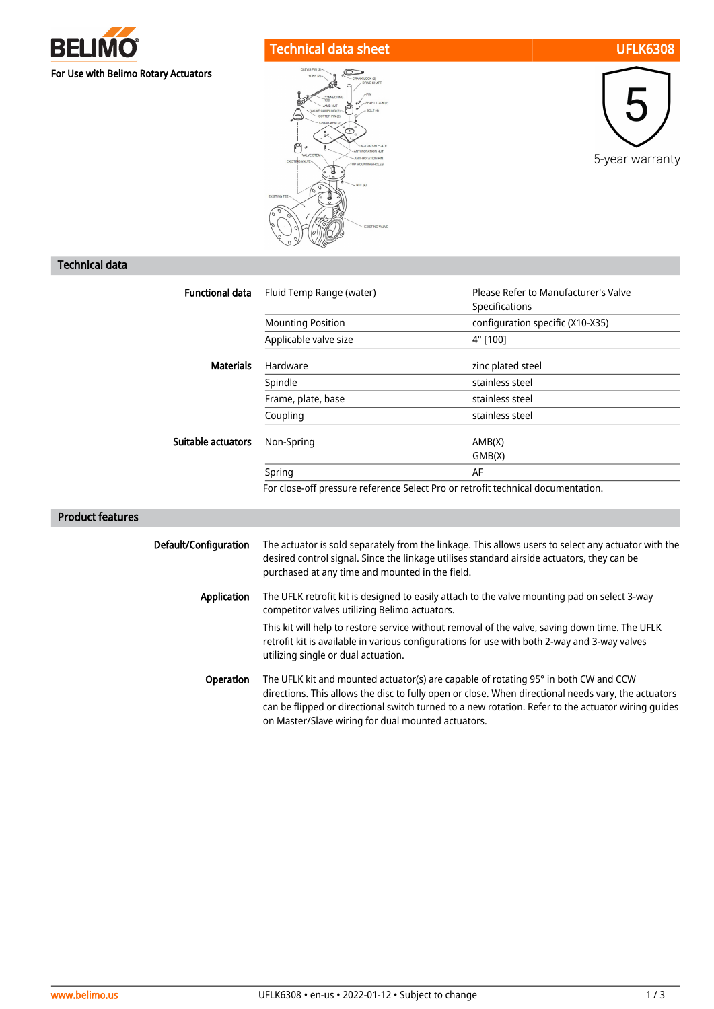

# Technical data sheet UFLK6308





# Technical data

| <b>Functional data</b> | Fluid Temp Range (water)                                                         | Please Refer to Manufacturer's Valve<br>Specifications |
|------------------------|----------------------------------------------------------------------------------|--------------------------------------------------------|
|                        | <b>Mounting Position</b>                                                         | configuration specific (X10-X35)                       |
|                        | Applicable valve size                                                            | 4" [100]                                               |
| <b>Materials</b>       | Hardware                                                                         | zinc plated steel                                      |
|                        | Spindle                                                                          | stainless steel                                        |
|                        | Frame, plate, base                                                               | stainless steel                                        |
|                        | Coupling                                                                         | stainless steel                                        |
| Suitable actuators     | Non-Spring                                                                       | AMB(X)<br>GMB(X)                                       |
|                        | Spring                                                                           | AF                                                     |
|                        | For close-off pressure reference Select Pro or retrofit technical documentation. |                                                        |

# Product features

| Default/Configuration | The actuator is sold separately from the linkage. This allows users to select any actuator with the<br>desired control signal. Since the linkage utilises standard airside actuators, they can be<br>purchased at any time and mounted in the field.                                                                                                   |
|-----------------------|--------------------------------------------------------------------------------------------------------------------------------------------------------------------------------------------------------------------------------------------------------------------------------------------------------------------------------------------------------|
| Application           | The UFLK retrofit kit is designed to easily attach to the valve mounting pad on select 3-way<br>competitor valves utilizing Belimo actuators.                                                                                                                                                                                                          |
|                       | This kit will help to restore service without removal of the valve, saving down time. The UFLK<br>retrofit kit is available in various configurations for use with both 2-way and 3-way valves<br>utilizing single or dual actuation.                                                                                                                  |
| <b>Operation</b>      | The UFLK kit and mounted actuator(s) are capable of rotating 95° in both CW and CCW<br>directions. This allows the disc to fully open or close. When directional needs vary, the actuators<br>can be flipped or directional switch turned to a new rotation. Refer to the actuator wiring quides<br>on Master/Slave wiring for dual mounted actuators. |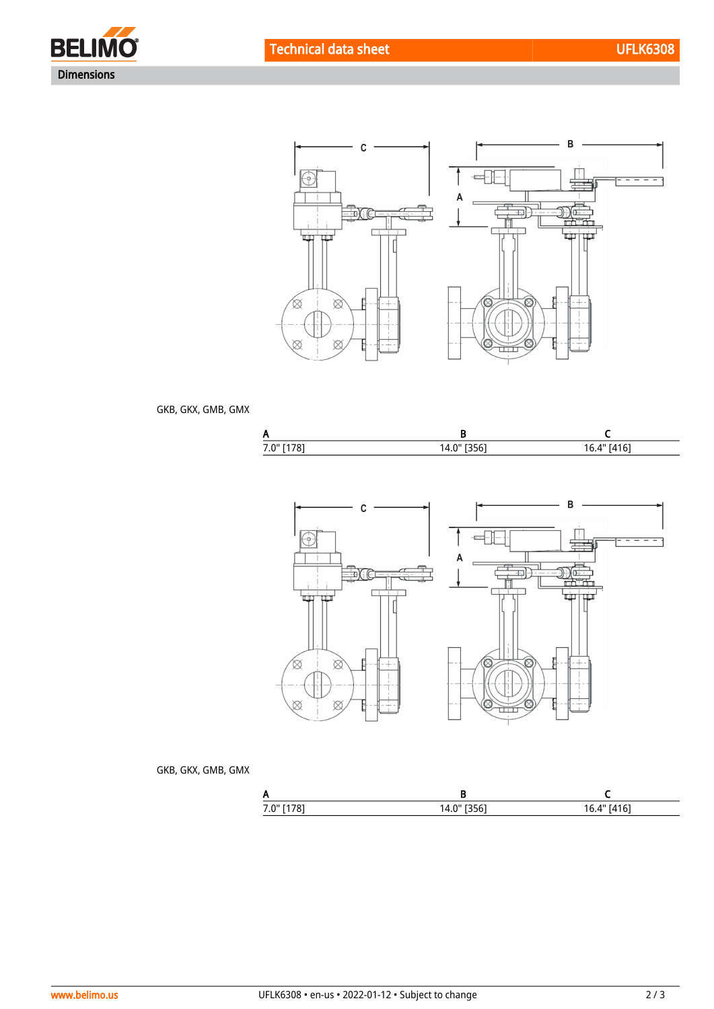





### GKB, GKX, GMB, GMX





### GKB, GKX, GMB, GMX

| $\cdot$ . | ٬¬۰ |  |
|-----------|-----|--|